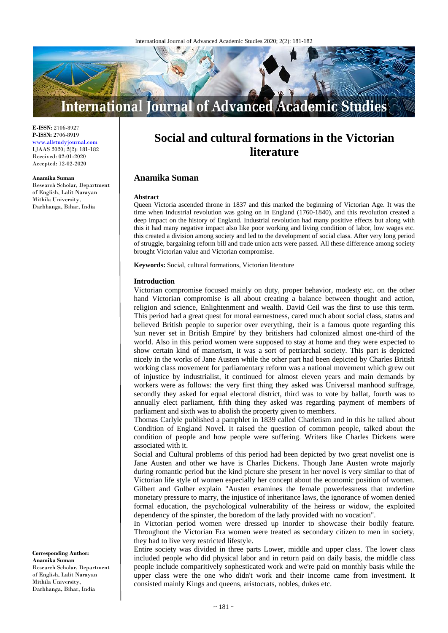

**E-ISSN:** 2706-8927 **P-ISSN:** 2706-8919 [www.allstudyjournal.com](http://www.allstudyjournal.com/) IJAAS 2020; 2(2): 181-182 Received: 02-01-2020 Accepted: 12-02-2020

#### **Anamika Suman**

Research Scholar, Department of English, Lalit Narayan Mithila University, Darbhanga, Bihar, India

# **Social and cultural formations in the Victorian literature**

## **Anamika Suman**

#### **Abstract**

Queen Victoria ascended throne in 1837 and this marked the beginning of Victorian Age. It was the time when Industrial revolution was going on in England (1760-1840), and this revolution created a deep impact on the history of England. Industrial revolution had many positive effects but along with this it had many negative impact also like poor working and living condition of labor, low wages etc. this created a division among society and led to the development of social class. After very long period of struggle, bargaining reform bill and trade union acts were passed. All these difference among society brought Victorian value and Victorian compromise.

**Keywords:** Social, cultural formations, Victorian literature

#### **Introduction**

Victorian compromise focused mainly on duty, proper behavior, modesty etc. on the other hand Victorian compromise is all about creating a balance between thought and action, religion and science, Enlightenment and wealth. David Ceil was the first to use this term. This period had a great quest for moral earnestness, cared much about social class, status and believed British people to superior over everything, their is a famous quote regarding this 'sun never set in British Empire' by they britishers had colonized almost one-third of the world. Also in this period women were supposed to stay at home and they were expected to show certain kind of manerism, it was a sort of petriarchal society. This part is depicted nicely in the works of Jane Austen while the other part had been depicted by Charles British working class movement for parliamentary reform was a national movement which grew out of injustice by industrialist, it continued for almost eleven years and main demands by workers were as follows: the very first thing they asked was Universal manhood suffrage, secondly they asked for equal electoral district, third was to vote by ballat, fourth was to annually elect parliament, fifth thing they asked was regarding payment of members of parliament and sixth was to abolish the property given to members.

Thomas Carlyle published a pamphlet in 1839 called Charletism and in this he talked about Condition of England Novel. It raised the question of common people, talked about the condition of people and how people were suffering. Writers like Charles Dickens were associated with it.

Social and Cultural problems of this period had been depicted by two great novelist one is Jane Austen and other we have is Charles Dickens. Though Jane Austen wrote majorly during romantic period but the kind picture she present in her novel is very similar to that of Victorian life style of women especially her concept about the economic position of women. Gilbert and Gulber explain "Austen examines the female powerlessness that underline monetary pressure to marry, the injustice of inheritance laws, the ignorance of women denied formal education, the psychological vulnerability of the heiress or widow, the exploited dependency of the spinster, the boredom of the lady provided with no vocation".

In Victorian period women were dressed up inorder to showcase their bodily feature. Throughout the Victorian Era women were treated as secondary citizen to men in society, they had to live very restricted lifestyle.

Entire society was divided in three parts Lower, middle and upper class. The lower class included people who did physical labor and in return paid on daily basis, the middle class people include comparitively sophesticated work and we're paid on monthly basis while the upper class were the one who didn't work and their income came from investment. It consisted mainly Kings and queens, aristocrats, nobles, dukes etc.

**Corresponding Author: Anamika Suman** Research Scholar, Department of English, Lalit Narayan Mithila University, Darbhanga, Bihar, India